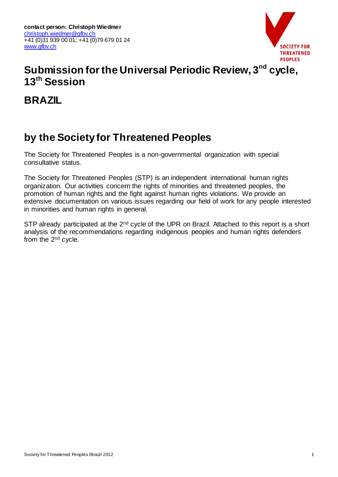

# **Submission for the Universal Periodic Review, 3nd cycle, 13th Session**

**BRAZIL**

# **by the Society for Threatened Peoples**

The Society for Threatened Peoples is a non-governmental organization with special consultative status.

The Society for Threatened Peoples (STP) is an independent international human rights organization. Our activities concern the rights of minorities and threatened peoples, the promotion of human rights and the fight against human rights violations. We provide an extensive documentation on various issues regarding our field of work for any people interested in minorities and human rights in general.

STP already participated at the 2<sup>nd</sup> cycle of the UPR on Brazil. Attached to this report is a short analysis of the recommendations regarding indigenous peoples and human rights defenders from the 2nd cycle.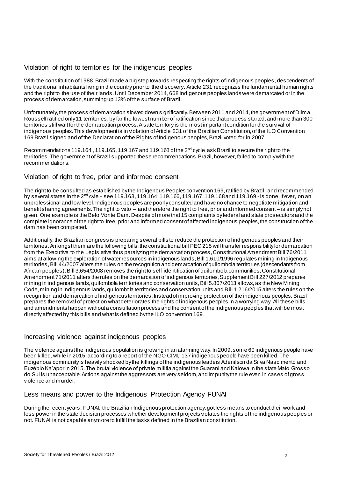#### Violation of right to territories for the indigenous peoples

With the constitution of 1988, Brazil made a big step towards respecting the rights of indigenous peoples , descendents of the traditional inhabitants living in the country prior to the discovery. Article 231 recognizes the fundamental human rights and the right to the use of their lands. Until December 2014, 668 indigenous peoples lands were demarcated or in the process of demarcation, summing up 13% of the surface of Brazil.

Unfortunately, the process of demarcation slowed down significantly. Between 2011 and 2014, the government of Dilma Rousseff ratified only 11 territories, by far the lowest number of ratification since that process started, and more than 300 territories still wait for the demarcation process. A safe territory is the most important condition for the survival of indigenous peoples. This development is in violation of Article 231 of the Brazilian Constitution, of the ILO Convention 169 Brazil signed and of the Declaration of the Rights of Indigenous peoples, Brazil voted for in 2007.

Recommendations 119.164, 119.165, 119.167 and 119.168 of the 2<sup>nd</sup> cycle ask Brazil to secure the right to the territories. The government of Brazil supported these recommendations. Brazil, however, failed to comply with the recommendations.

#### Violation of right to free, prior and informed consent

The right to be consulted as established by the Indigenous Peoples convention 169, ratified by Brazil, and recommended by several states in the 2nd cyle - see 119.163, 119.164, 119.166, 119.167, 119.168 and 119.169 - is done, if ever, on an unprofessional and low level. Indigenous peoples are poorly consulted and have no chance to negotiate mitigati on and benefit sharing agreements. The right to veto – and therefore the right to free, prior and informed consent – is simply not given. One example is the Belo Monte Dam. Despite of more that 15 complaints by federal and state prosecutors and the complete ignorance of the right to free, prior and informed consent of affected indigenous peoples, the construction of the dam has been completed.

Additionally, the Brazilian congress is preparing several bills to reduce the protection of indigenous peoples and their territories. Amongst them are the following bills: the constitutional bill PEC 215 will transfer responsibility for demarcation from the Executive to the Legislative thus paralyzing the demarcation process, Constitutional Amendment Bill 76/2011 aims at allowing the exploration of water resources in indigenous lands, Bill 1.610/1996 regulates mining in Indigenous territories, Bill 44/2007 alters the rules on the recognition and demarcation of quilombola territories (descendants from African peoples),Bill 3.654/2008 removes the right to self-identification of quilombola communities, Constitutional Amendment 71/2011 alters the rules on the demarcation of indigenous territories, Supplement Bill 227/2012 prepares mining in indigenous lands, quilombola territories and conservation units, Bill 5.807/2013 allows, as the New Mining Code, mining in indigenous lands, quilombola territories and conservation units and Bill 1.216/2015 alters the rules on the recognition and demarcation of indigenous territories. Instead of improving protection of the indigenous peoples, Brazil prepares the removal of protection what deteriorates the rights of indigenous peoples in a worrying way. All these bills and amendments happen without a consultation process and the consent of the indigenous peoples that will be most directly affected by this bills and what is defined by the ILO convention 169.

#### Increasing violence against indigenous peoples

The violence against the indigenous population is growing in an alarming way. In 2009, some 60 indigenous people have been killed, while in 2015, according to a report of the NGO CIMI, 137 indigenous people have been killed. The indigenous community is heavily shocked by the killings of the indigenous leaders Adenilson da Silva Nascimento and Euzébio Ka'apor in 2015. The brutal violence of private militia against the Guarani and Kaiowa in the state Mato Grosso do Sul is unacceptable. Actions against the aggressors are very seldom, and impunity the rule even in cases of gross violence and murder.

### Less means and power to the Indigenous Protection Agency FUNAI

During the recent years, FUNAI, the Brazilian Indigenous protection agency, got less means to conduct their work and less power in the state decision processes whether development projects violates the rights of the indigenous peoples or not. FUNAI is not capable anymore to fulfill the tasks defined in the Brazilian constitution.